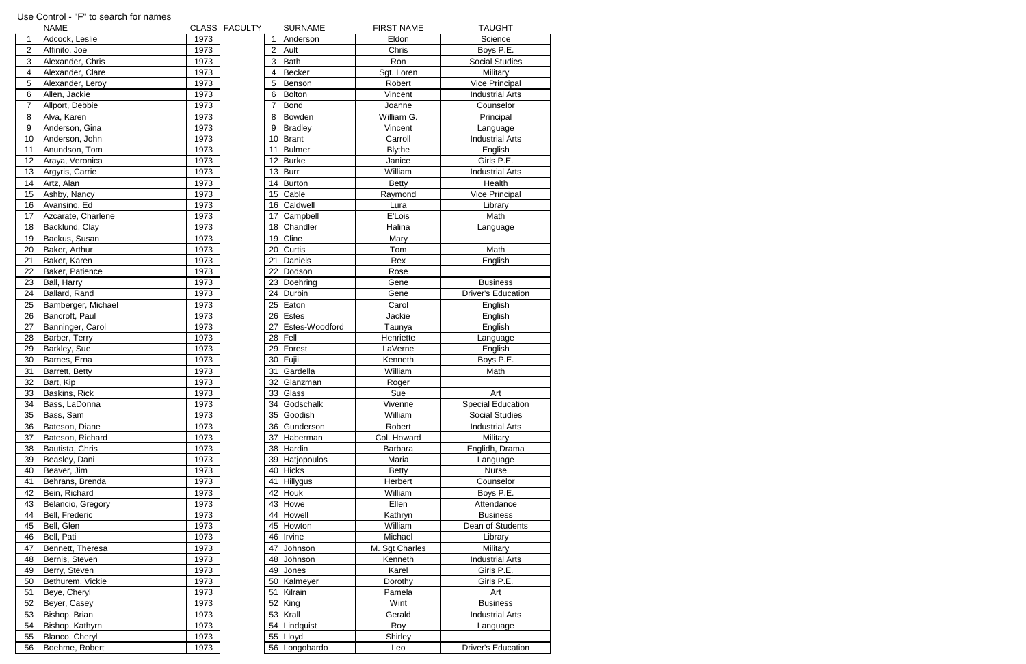|                | <b>NAME</b>        |      | CLASS FACULTY |                | <b>SURNAME</b>     | <b>FIRST NAME</b> | <b>TAUGHT</b>             |
|----------------|--------------------|------|---------------|----------------|--------------------|-------------------|---------------------------|
|                | Adcock, Leslie     | 1973 |               | 1              | Anderson           | Eldon             | Science                   |
| $\overline{2}$ | Affinito, Joe      | 1973 |               | $\overline{2}$ | Ault               | Chris             | Boys P.E.                 |
| 3              | Alexander, Chris   | 1973 |               | 3              | Bath               | Ron               | <b>Social Studies</b>     |
| 4              | Alexander, Clare   | 1973 |               | 4              | Becker             | Sgt. Loren        | Military                  |
| 5              | Alexander, Leroy   | 1973 |               | 5              | Benson             | Robert            | <b>Vice Principal</b>     |
| 6              | Allen, Jackie      | 1973 |               | 6              | Bolton             | Vincent           | <b>Industrial Arts</b>    |
| $\overline{7}$ | Allport, Debbie    | 1973 |               | $\overline{7}$ | Bond               | Joanne            | Counselor                 |
| 8              | Alva, Karen        | 1973 |               | 8              | Bowden             | William G.        | Principal                 |
| 9              | Anderson, Gina     | 1973 |               | 9              | <b>Bradley</b>     | Vincent           | Language                  |
| 10             | Anderson, John     | 1973 |               |                | 10 Brant           | Carroll           | <b>Industrial Arts</b>    |
| 11             | Anundson, Tom      | 1973 |               | 11             | Bulmer             | <b>Blythe</b>     | English                   |
| 12             | Araya, Veronica    | 1973 |               | 12             | Burke              | Janice            | Girls P.E.                |
| 13             | Argyris, Carrie    | 1973 |               |                | $13$ Burr          | William           | <b>Industrial Arts</b>    |
| 14             | Artz, Alan         | 1973 |               | 14             | Burton             | <b>Betty</b>      | Health                    |
| 15             | Ashby, Nancy       | 1973 |               |                | 15 Cable           | Raymond           | Vice Principal            |
| 16             | Avansino, Ed       | 1973 |               |                | 16 Caldwell        | Lura              | Library                   |
| 17             | Azcarate, Charlene | 1973 |               |                | 17 Campbell        | E'Lois            | Math                      |
| 18             | Backlund, Clay     | 1973 |               | 18             | Chandler           | Halina            | Language                  |
| 19             | Backus, Susan      | 1973 |               |                | 19 Cline           | Mary              |                           |
| 20             | Baker, Arthur      | 1973 |               |                | 20 Curtis          | Tom               | Math                      |
| 21             | Baker, Karen       | 1973 |               | 21             | Daniels            | Rex               | English                   |
| 22             | Baker, Patience    | 1973 |               | 22             | Dodson             | Rose              |                           |
| 23             | Ball, Harry        | 1973 |               |                | 23 Doehring        | Gene              | <b>Business</b>           |
| 24             | Ballard, Rand      | 1973 |               | 24             | Durbin             | Gene              | <b>Driver's Education</b> |
| 25             | Bamberger, Michael | 1973 |               |                | 25 Eaton           | Carol             | English                   |
| 26             | Bancroft, Paul     | 1973 |               |                | 26 Estes           | Jackie            | English                   |
| 27             | Banninger, Carol   | 1973 |               | 27             | Estes-Woodford     | Taunya            | English                   |
| 28             | Barber, Terry      | 1973 |               |                | $28$ Fell          | Henriette         | Language                  |
| 29             | Barkley, Sue       | 1973 |               | 29             | Forest             | LaVerne           | English                   |
| 30             | Barnes, Erna       | 1973 |               |                | 30 Fujii           | Kenneth           | Boys P.E.                 |
| 31             | Barrett, Betty     | 1973 |               | 31             | Gardella           | William           | Math                      |
| 32             | Bart, Kip          | 1973 |               | 32             | Glanzman           | Roger             |                           |
| 33             | Baskins, Rick      | 1973 |               |                | 33 Glass           | Sue               | Art                       |
| 34             | Bass, LaDonna      | 1973 |               |                | 34 Godschalk       | Vivenne           | <b>Special Education</b>  |
| 35             | Bass, Sam          | 1973 |               |                | 35 Goodish         | William           | <b>Social Studies</b>     |
| 36             | Bateson, Diane     | 1973 |               |                | 36 Gunderson       | Robert            | <b>Industrial Arts</b>    |
| 37             | Bateson, Richard   | 1973 |               |                | 37 Haberman        | Col. Howard       | Military                  |
| 38             | Bautista, Chris    | 1973 |               |                | 38 Hardin          | Barbara           | Englidh, Drama            |
| 39             | Beasley, Dani      | 1973 |               | 39             | <b>Hatjopoulos</b> | Maria             | Language                  |
| 40             | Beaver, Jim        | 1973 |               |                | 40 Hicks           | <b>Betty</b>      | <b>Nurse</b>              |
| 41             | Behrans, Brenda    | 1973 |               |                | 41 Hillygus        | Herbert           | Counselor                 |
| 42             | Bein, Richard      | 1973 |               |                | 42 Houk            | William           | Boys P.E.                 |
| 43             | Belancio, Gregory  | 1973 |               |                | 43 Howe            | Ellen             | Attendance                |
| 44             | Bell, Frederic     | 1973 |               | 44             | Howell             | Kathryn           | <b>Business</b>           |
| 45             | Bell, Glen         | 1973 |               |                | 45 Howton          | William           | Dean of Students          |
| 46             | Bell, Pati         | 1973 |               |                | 46 Irvine          | Michael           | Library                   |
| 47             | Bennett, Theresa   | 1973 |               | 47             | Johnson            | M. Sgt Charles    | Military                  |
| 48             | Bernis, Steven     | 1973 |               | 48             | Johnson            | Kenneth           | <b>Industrial Arts</b>    |
| 49             | Berry, Steven      | 1973 |               | 49             | Jones              | Karel             | Girls P.E.                |
| 50             | Bethurem, Vickie   | 1973 |               | 50             | Kalmeyer           | Dorothy           | Girls P.E.                |
| 51             | Beye, Cheryl       | 1973 |               | 51             | Kilrain            | Pamela            | Art                       |
| 52             | Beyer, Casey       | 1973 |               |                | 52 King            | Wint              | <b>Business</b>           |
| 53             | Bishop, Brian      | 1973 |               |                | 53 Krall           | Gerald            | <b>Industrial Arts</b>    |
| 54             | Bishop, Kathyrn    | 1973 |               |                | 54 Lindquist       | Roy               | Language                  |
| 55             | Blanco, Cheryl     | 1973 |               |                | 55 Lloyd           | Shirley           |                           |
| 56             | Boehme, Robert     | 1973 |               |                | 56 Longobardo      | Leo               | <b>Driver's Education</b> |

## Use Control - "F" to search for names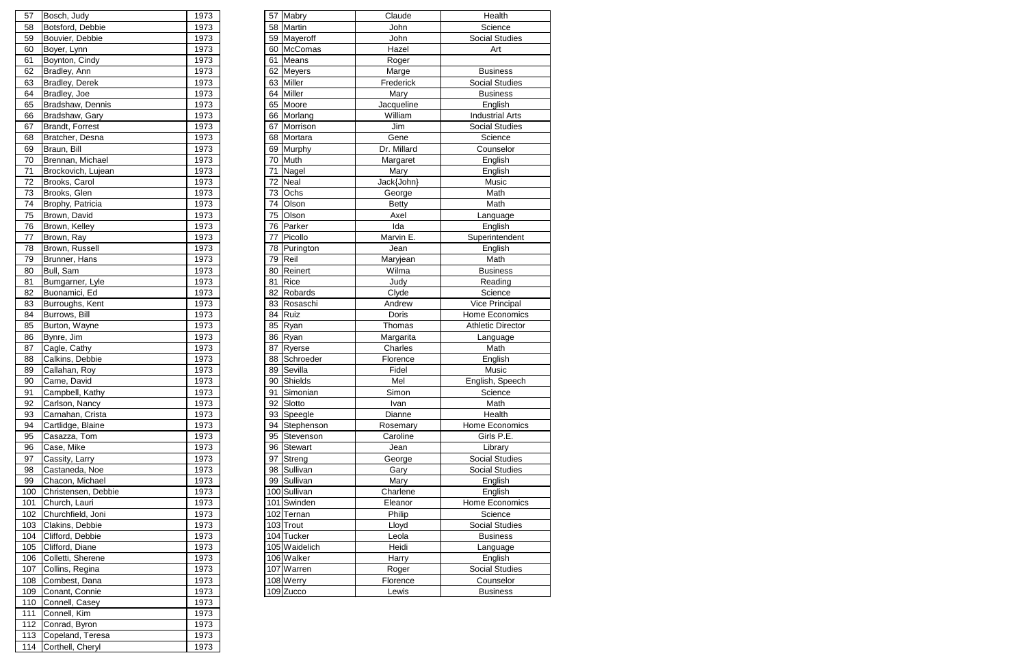| Bosch, Judy         | 1973                                                                                                                                                                                                                   |    |         | Claude                                                                                                                                                                                                                                                                                                                                                                                                                                                                                                                                                    | Health                                                               |
|---------------------|------------------------------------------------------------------------------------------------------------------------------------------------------------------------------------------------------------------------|----|---------|-----------------------------------------------------------------------------------------------------------------------------------------------------------------------------------------------------------------------------------------------------------------------------------------------------------------------------------------------------------------------------------------------------------------------------------------------------------------------------------------------------------------------------------------------------------|----------------------------------------------------------------------|
| Botsford, Debbie    | 1973                                                                                                                                                                                                                   |    |         | John                                                                                                                                                                                                                                                                                                                                                                                                                                                                                                                                                      | Science                                                              |
|                     | 1973                                                                                                                                                                                                                   |    |         | John                                                                                                                                                                                                                                                                                                                                                                                                                                                                                                                                                      | <b>Social Studies</b>                                                |
| Boyer, Lynn         | 1973                                                                                                                                                                                                                   | 60 |         | Hazel                                                                                                                                                                                                                                                                                                                                                                                                                                                                                                                                                     | Art                                                                  |
| Boynton, Cindy      | 1973                                                                                                                                                                                                                   | 61 |         | Roger                                                                                                                                                                                                                                                                                                                                                                                                                                                                                                                                                     |                                                                      |
| Bradley, Ann        | 1973                                                                                                                                                                                                                   | 62 |         | Marge                                                                                                                                                                                                                                                                                                                                                                                                                                                                                                                                                     | <b>Business</b>                                                      |
|                     | 1973                                                                                                                                                                                                                   | 63 |         | Frederick                                                                                                                                                                                                                                                                                                                                                                                                                                                                                                                                                 | <b>Social Studies</b>                                                |
| Bradley, Joe        | 1973                                                                                                                                                                                                                   | 64 |         |                                                                                                                                                                                                                                                                                                                                                                                                                                                                                                                                                           | <b>Business</b>                                                      |
| Bradshaw, Dennis    | 1973                                                                                                                                                                                                                   | 65 |         | Jacqueline                                                                                                                                                                                                                                                                                                                                                                                                                                                                                                                                                | English                                                              |
|                     | 1973                                                                                                                                                                                                                   |    |         | William                                                                                                                                                                                                                                                                                                                                                                                                                                                                                                                                                   | <b>Industrial Arts</b>                                               |
| Brandt, Forrest     | 1973                                                                                                                                                                                                                   | 67 |         | Jim                                                                                                                                                                                                                                                                                                                                                                                                                                                                                                                                                       | <b>Social Studies</b>                                                |
| Bratcher, Desna     | 1973                                                                                                                                                                                                                   | 68 |         | Gene                                                                                                                                                                                                                                                                                                                                                                                                                                                                                                                                                      | Science                                                              |
| Braun, Bill         | 1973                                                                                                                                                                                                                   | 69 |         | Dr. Millard                                                                                                                                                                                                                                                                                                                                                                                                                                                                                                                                               | Counselor                                                            |
| Brennan, Michael    | 1973                                                                                                                                                                                                                   | 70 |         |                                                                                                                                                                                                                                                                                                                                                                                                                                                                                                                                                           | English                                                              |
|                     | 1973                                                                                                                                                                                                                   | 71 |         |                                                                                                                                                                                                                                                                                                                                                                                                                                                                                                                                                           | English                                                              |
|                     | 1973                                                                                                                                                                                                                   | 72 |         |                                                                                                                                                                                                                                                                                                                                                                                                                                                                                                                                                           | Music                                                                |
|                     | 1973                                                                                                                                                                                                                   | 73 | Ochs    | George                                                                                                                                                                                                                                                                                                                                                                                                                                                                                                                                                    | Math                                                                 |
| Brophy, Patricia    | 1973                                                                                                                                                                                                                   | 74 | Olson   | <b>Betty</b>                                                                                                                                                                                                                                                                                                                                                                                                                                                                                                                                              | Math                                                                 |
| Brown, David        | 1973                                                                                                                                                                                                                   | 75 | Olson   | Axel                                                                                                                                                                                                                                                                                                                                                                                                                                                                                                                                                      | Language                                                             |
|                     | 1973                                                                                                                                                                                                                   | 76 |         | Ida                                                                                                                                                                                                                                                                                                                                                                                                                                                                                                                                                       | English                                                              |
|                     | 1973                                                                                                                                                                                                                   | 77 | Picollo | Marvin E.                                                                                                                                                                                                                                                                                                                                                                                                                                                                                                                                                 | Superintendent                                                       |
| Brown, Russell      | 1973                                                                                                                                                                                                                   | 78 |         | Jean                                                                                                                                                                                                                                                                                                                                                                                                                                                                                                                                                      | English                                                              |
| Brunner, Hans       | 1973                                                                                                                                                                                                                   | 79 |         | Maryjean                                                                                                                                                                                                                                                                                                                                                                                                                                                                                                                                                  | Math                                                                 |
|                     | 1973                                                                                                                                                                                                                   | 80 | Reinert | Wilma                                                                                                                                                                                                                                                                                                                                                                                                                                                                                                                                                     | <b>Business</b>                                                      |
|                     | 1973                                                                                                                                                                                                                   | 81 | Rice    |                                                                                                                                                                                                                                                                                                                                                                                                                                                                                                                                                           | Reading                                                              |
| Buonamici, Ed       | 1973                                                                                                                                                                                                                   | 82 |         |                                                                                                                                                                                                                                                                                                                                                                                                                                                                                                                                                           | Science                                                              |
| Burroughs, Kent     | 1973                                                                                                                                                                                                                   | 83 |         | Andrew                                                                                                                                                                                                                                                                                                                                                                                                                                                                                                                                                    | Vice Principal                                                       |
| Burrows, Bill       | 1973                                                                                                                                                                                                                   | 84 |         | Doris                                                                                                                                                                                                                                                                                                                                                                                                                                                                                                                                                     | Home Economics                                                       |
| Burton, Wayne       | 1973                                                                                                                                                                                                                   | 85 |         | Thomas                                                                                                                                                                                                                                                                                                                                                                                                                                                                                                                                                    | <b>Athletic Director</b>                                             |
| Bynre, Jim          | 1973                                                                                                                                                                                                                   | 86 |         |                                                                                                                                                                                                                                                                                                                                                                                                                                                                                                                                                           | Language                                                             |
| Cagle, Cathy        | 1973                                                                                                                                                                                                                   | 87 |         | Charles                                                                                                                                                                                                                                                                                                                                                                                                                                                                                                                                                   | Math                                                                 |
|                     | 1973                                                                                                                                                                                                                   | 88 |         | Florence                                                                                                                                                                                                                                                                                                                                                                                                                                                                                                                                                  | English                                                              |
| Callahan, Roy       | 1973                                                                                                                                                                                                                   | 89 | Sevilla | Fidel                                                                                                                                                                                                                                                                                                                                                                                                                                                                                                                                                     | Music                                                                |
| Came, David         | 1973                                                                                                                                                                                                                   | 90 |         | Mel                                                                                                                                                                                                                                                                                                                                                                                                                                                                                                                                                       | English, Speech                                                      |
|                     | 1973                                                                                                                                                                                                                   | 91 |         | Simon                                                                                                                                                                                                                                                                                                                                                                                                                                                                                                                                                     | Science                                                              |
| Carlson, Nancy      | 1973                                                                                                                                                                                                                   | 92 |         | Ivan                                                                                                                                                                                                                                                                                                                                                                                                                                                                                                                                                      | Math                                                                 |
| Carnahan, Crista    | 1973                                                                                                                                                                                                                   |    |         | Dianne                                                                                                                                                                                                                                                                                                                                                                                                                                                                                                                                                    | Health                                                               |
| Cartlidge, Blaine   | 1973                                                                                                                                                                                                                   | 94 |         | Rosemary                                                                                                                                                                                                                                                                                                                                                                                                                                                                                                                                                  | Home Economics                                                       |
| Casazza, Tom        | 1973                                                                                                                                                                                                                   | 95 |         | Caroline                                                                                                                                                                                                                                                                                                                                                                                                                                                                                                                                                  | Girls P.E.                                                           |
| Case, Mike          | 1973                                                                                                                                                                                                                   | 96 |         | Jean                                                                                                                                                                                                                                                                                                                                                                                                                                                                                                                                                      | Library                                                              |
| Cassity, Larry      | 1973                                                                                                                                                                                                                   | 97 |         | George                                                                                                                                                                                                                                                                                                                                                                                                                                                                                                                                                    | Social Studies                                                       |
| Castaneda, Noe      | 1973                                                                                                                                                                                                                   | 98 |         | Gary                                                                                                                                                                                                                                                                                                                                                                                                                                                                                                                                                      | <b>Social Studies</b>                                                |
| Chacon, Michael     | 1973                                                                                                                                                                                                                   | 99 |         | Mary                                                                                                                                                                                                                                                                                                                                                                                                                                                                                                                                                      | English                                                              |
| Christensen, Debbie | 1973                                                                                                                                                                                                                   |    |         | Charlene                                                                                                                                                                                                                                                                                                                                                                                                                                                                                                                                                  | English                                                              |
| Church, Lauri       | 1973                                                                                                                                                                                                                   |    |         | Eleanor                                                                                                                                                                                                                                                                                                                                                                                                                                                                                                                                                   | Home Economics                                                       |
| Churchfield, Joni   | 1973                                                                                                                                                                                                                   |    |         | Philip                                                                                                                                                                                                                                                                                                                                                                                                                                                                                                                                                    | Science                                                              |
| Clakins, Debbie     | 1973                                                                                                                                                                                                                   |    |         | Lloyd                                                                                                                                                                                                                                                                                                                                                                                                                                                                                                                                                     | Social Studies                                                       |
| Clifford, Debbie    | 1973                                                                                                                                                                                                                   |    |         | Leola                                                                                                                                                                                                                                                                                                                                                                                                                                                                                                                                                     | <b>Business</b>                                                      |
| Clifford, Diane     | 1973                                                                                                                                                                                                                   |    |         | Heidi                                                                                                                                                                                                                                                                                                                                                                                                                                                                                                                                                     | Language                                                             |
| Colletti, Sherene   | 1973                                                                                                                                                                                                                   |    |         | Harry                                                                                                                                                                                                                                                                                                                                                                                                                                                                                                                                                     | English                                                              |
| Collins, Regina     | 1973                                                                                                                                                                                                                   |    |         | Roger                                                                                                                                                                                                                                                                                                                                                                                                                                                                                                                                                     | Social Studies                                                       |
| Combest, Dana       | 1973                                                                                                                                                                                                                   |    |         | Florence                                                                                                                                                                                                                                                                                                                                                                                                                                                                                                                                                  | Counselor                                                            |
| Conant, Connie      | 1973                                                                                                                                                                                                                   |    |         | Lewis                                                                                                                                                                                                                                                                                                                                                                                                                                                                                                                                                     | <b>Business</b>                                                      |
|                     | Bouvier, Debbie<br><b>Bradley, Derek</b><br>Bradshaw, Gary<br>Brockovich, Lujean<br>Brooks, Carol<br>Brooks, Glen<br>Brown, Kelley<br>Brown, Ray<br>Bull, Sam<br>Bumgarner, Lyle<br>Calkins, Debbie<br>Campbell, Kathy |    |         | 57 Mabry<br>58 Martin<br>59 Mayeroff<br>McComas<br>Means<br>Meyers<br>Miller<br>Miller<br>Moore<br>66 Morlang<br>Morrison<br>Mortara<br>Murphy<br>Muth<br>Nagel<br>Neal<br>Parker<br>Purington<br>Reil<br>Robards<br>Rosaschi<br>Ruiz<br>Ryan<br>Ryan<br><b>Ryerse</b><br>Schroeder<br>Shields<br>Simonian<br>Slotto<br>93 Speegle<br>Stephenson<br>Stevenson<br>Stewart<br>Streng<br>Sullivan<br>Sullivan<br>100 Sullivan<br>101 Swinden<br>102 Ternan<br>103 Trout<br>104 Tucker<br>105 Waidelich<br>106 Walker<br>107 Warren<br>108 Werry<br>109 Zucco | Mary<br>Margaret<br>Mary<br>Jack{John}<br>Judy<br>Clyde<br>Margarita |

| 57  | Bosch, Judy         | 1973 |    | 57 Mabry       | Claude       |
|-----|---------------------|------|----|----------------|--------------|
| 58  | Botsford, Debbie    | 1973 |    | 58 Martin      | John         |
| 59  | Bouvier, Debbie     | 1973 |    | 59 Mayeroff    | John         |
| 60  | Boyer, Lynn         | 1973 |    | 60 McComas     | Hazel        |
| 61  | Boynton, Cindy      | 1973 |    | 61 Means       | Roger        |
| 62  | Bradley, Ann        | 1973 |    | 62 Meyers      | Marge        |
| 63  | Bradley, Derek      | 1973 |    | 63 Miller      | Frederio     |
| 64  | Bradley, Joe        | 1973 |    | 64 Miller      | Mary         |
| 65  | Bradshaw, Dennis    | 1973 |    | 65 Moore       | Jacqueli     |
| 66  | Bradshaw, Gary      | 1973 |    | 66 Morlang     | William      |
| 67  | Brandt, Forrest     | 1973 |    | 67 Morrison    | Jim          |
| 68  | Bratcher, Desna     | 1973 |    | 68 Mortara     | Gene         |
| 69  | Braun, Bill         | 1973 |    | 69 Murphy      | Dr. Milla    |
| 70  | Brennan, Michael    | 1973 |    | 70 Muth        | Margar       |
| 71  | Brockovich, Lujean  | 1973 | 71 | Nagel          | Mary         |
| 72  | Brooks, Carol       | 1973 |    | 72 Neal        | Jack{Joh     |
| 73  | Brooks, Glen        | 1973 | 73 | Ochs           | George       |
| 74  | Brophy, Patricia    | 1973 | 74 | Olson          | <b>Betty</b> |
| 75  | Brown, David        | 1973 | 75 | Olson          | Axel         |
| 76  | Brown, Kelley       | 1973 |    | 76 Parker      | Ida          |
| 77  | Brown, Ray          | 1973 | 77 | Picollo        | Marvin I     |
| 78  | Brown, Russell      | 1973 |    | 78 Purington   | Jean         |
| 79  | Brunner, Hans       | 1973 | 79 | Reil           | Maryjea      |
| 80  | Bull, Sam           | 1973 | 80 | Reinert        | Wilma        |
| 81  | Bumgarner, Lyle     | 1973 | 81 | <b>Rice</b>    | Judy         |
| 82  | Buonamici, Ed       | 1973 |    | 82 Robards     | Clyde        |
| 83  | Burroughs, Kent     | 1973 |    | 83 Rosaschi    | Andrev       |
| 84  | Burrows, Bill       | 1973 | 84 | Ruiz           | Doris        |
| 85  | Burton, Wayne       | 1973 |    | 85 Ryan        | Thoma        |
| 86  | Bynre, Jim          | 1973 |    | 86 Ryan        | Margari      |
| 87  | Cagle, Cathy        | 1973 | 87 | <b>Ryerse</b>  | Charle       |
| 88  | Calkins, Debbie     | 1973 |    | 88 Schroeder   | Florenc      |
| 89  | Callahan, Roy       | 1973 |    | 89 Sevilla     | Fidel        |
| 90  | Came, David         | 1973 |    | 90 Shields     | Mel          |
| 91  | Campbell, Kathy     | 1973 | 91 | Simonian       | Simon        |
| 92  | Carlson, Nancy      | 1973 |    | 92 Slotto      | Ivan         |
| 93  | Carnahan, Crista    | 1973 |    | 93 Speegle     | Dianne       |
| 94  | Cartlidge, Blaine   | 1973 |    | 94 Stephenson  | Rosema       |
| 95  | Casazza, Tom        | 1973 |    | 95 Stevenson   | Carolin      |
| 96  | Case, Mike          | 1973 | 96 | <b>Stewart</b> | Jean         |
| 97  | Cassity, Larry      | 1973 |    | 97 Streng      | Georg        |
| 98  | Castaneda, Noe      | 1973 |    | 98 Sullivan    | Gary         |
| 99  | Chacon, Michael     | 1973 |    | 99 Sullivan    | Mary         |
| 100 | Christensen, Debbie | 1973 |    | 100 Sullivan   | Charler      |
| 101 | Church, Lauri       | 1973 |    | 101 Swinden    | Eleano       |
| 102 | Churchfield, Joni   | 1973 |    | 102 Ternan     | Philip       |
| 103 | Clakins, Debbie     | 1973 |    | 103 Trout      | Lloyd        |
| 104 | Clifford, Debbie    | 1973 |    | 104 Tucker     | Leola        |
| 105 | Clifford, Diane     | 1973 |    | 105 Waidelich  | Heidi        |
| 106 | Colletti, Sherene   | 1973 |    | 106 Walker     | Harry        |
| 107 | Collins, Regina     | 1973 |    | 107 Warren     | Roger        |
| 108 | Combest, Dana       | 1973 |    | 108 Werry      | Florenc      |
| 109 | Conant, Connie      | 1973 |    | 109 Zucco      | Lewis        |
| 110 | Connell, Casey      | 1973 |    |                |              |
| 111 | Connell, Kim        | 1973 |    |                |              |
| 112 | Conrad, Byron       | 1973 |    |                |              |
| 113 | Copeland, Teresa    | 1973 |    |                |              |
| 114 | Corthell, Cheryl    | 1973 |    |                |              |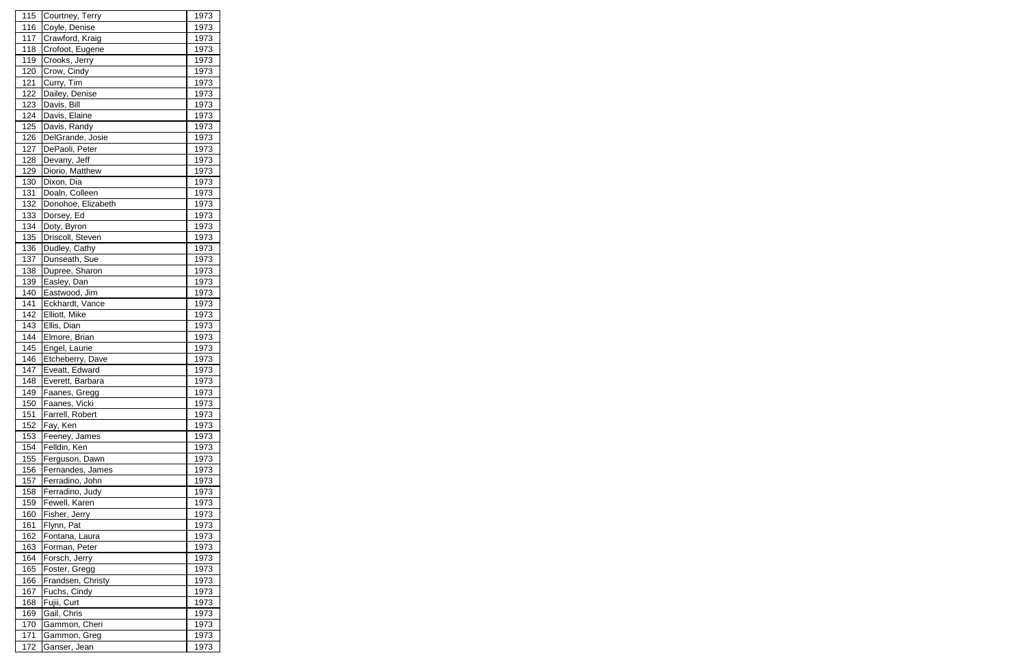| 115 | Courtney, Terry    | 1973         |
|-----|--------------------|--------------|
| 116 | Coyle, Denise      | 1973         |
| 117 | Crawford, Kraig    | 1973         |
| 118 | Crofoot, Eugene    | 1973         |
| 119 | Crooks, Jerry      | 1973         |
| 120 | Crow, Cindy        | 1973         |
| 121 | Curry, Tim         | 1973         |
| 122 | Dailey, Denise     | 1973         |
| 123 | Davis, Bill        | 1973         |
| 124 | Davis, Elaine      | 1973         |
| 125 | Davis, Randy       | 1973         |
| 126 | DelGrande, Josie   | 1973         |
| 127 | DePaoli, Peter     | 1973         |
| 128 | Devany, Jeff       | 1973         |
| 129 | Diorio, Matthew    | 1973         |
| 130 | Dixon, Dia         | 1973         |
| 131 | Doaln, Colleen     | 1973         |
| 132 | Donohoe, Elizabeth | 1973         |
| 133 | Dorsey, Ed         | 1973         |
| 134 | Doty, Byron        | 1973         |
| 135 | Driscoll, Steven   | 1973         |
|     | Dudley, Cathy      |              |
| 136 | Dunseath, Sue      | 1973         |
| 137 |                    | 1973         |
| 138 | Dupree, Sharon     | 1973         |
| 139 | Easley, Dan        | 1973         |
| 140 | Eastwood, Jim      | 1973         |
| 141 | Eckhardt, Vance    | 1973         |
| 142 | Elliott, Mike      | 1973         |
| 143 | Ellis, Dian        | 1973         |
| 144 | Elmore, Brian      | 1973         |
| 145 | Engel, Laurie      | 1973         |
| 146 | Etcheberry, Dave   | 1973         |
| 147 | Eveatt, Edward     | 1973         |
| 148 | Everett, Barbara   | <u> 1973</u> |
| 149 | Faanes, Gregg      | 1973         |
| 150 | Faanes, Vicki      | 1973         |
| 151 | Farrell, Robert    | 1973         |
| 152 | Fay, Ken           | 1973         |
| 153 | Feeney, James      | 1973         |
| 154 | Felldin, Ken       | 1973         |
| 155 | Ferguson, Dawn     | 1973         |
| 156 | Fernandes, James   | 1973         |
| 157 | Ferradino, John    | 1973         |
| 158 | Ferradino, Judy    | 1973         |
| 159 | Fewell, Karen      | 1973         |
| 160 | Fisher, Jerry      | 1973         |
| 161 | Flynn, Pat         | 1973         |
| 162 | Fontana, Laura     | 1973         |
| 163 | Forman, Peter      | 1973         |
| 164 | Forsch, Jerry      | 1973         |
| 165 | Foster, Gregg      | 1973         |
| 166 | Frandsen, Christy  | 1973         |
| 167 | Fuchs, Cindy       | 1973         |
| 168 | Fujii, Curt        | 1973         |
| 169 | Gail, Chris        | 1973         |
| 170 | Gammon, Cheri      | 1973         |
| 171 | Gammon, Greg       | 1973         |
| 172 | Ganser, Jean       | 1973         |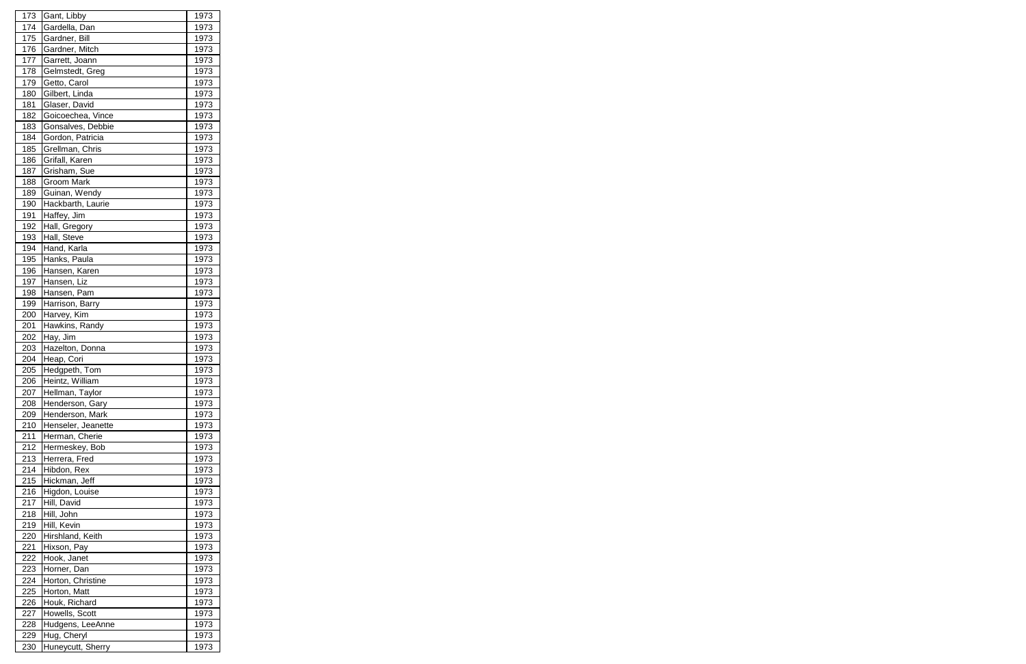| 173 | Gant, Libby        | 1973         |
|-----|--------------------|--------------|
| 174 | Gardella, Dan      | 1973         |
| 175 | Gardner, Bill      | 1973         |
| 176 | Gardner, Mitch     | 1973         |
| 177 | Garrett, Joann     | 1973         |
| 178 | Gelmstedt, Greg    | 1973         |
| 179 | Getto, Carol       | 1973         |
| 180 | Gilbert, Linda     | 1973         |
| 181 | Glaser, David      | 1973         |
| 182 | Goicoechea, Vince  | 1973         |
| 183 | Gonsalves, Debbie  | 1973         |
| 184 | Gordon, Patricia   | 1973         |
| 185 | Grellman, Chris    | 1973         |
| 186 | Grifall, Karen     | 1973         |
| 187 | Grisham, Sue       | 1973         |
| 188 | <b>Groom Mark</b>  | 1973         |
| 189 | Guinan, Wendy      | 1973         |
| 190 | Hackbarth, Laurie  | 1973         |
| 191 | Haffey, Jim        | 1973         |
| 192 | Hall, Gregory      | 1973         |
| 193 | Hall, Steve        | 1973         |
| 194 | Hand, Karla        | 1973         |
| 195 | Hanks, Paula       | 1973         |
| 196 | Hansen, Karen      | 1973         |
| 197 | Hansen, Liz        | 1973         |
| 198 | Hansen, Pam        | 1973         |
| 199 | Harrison, Barry    | 1973         |
| 200 | Harvey, Kim        | 1973         |
| 201 | Hawkins, Randy     | 1973         |
| 202 | Hay, Jim           | 1973         |
| 203 | Hazelton, Donna    | 1973         |
| 204 | Heap, Cori         | 1973         |
| 205 | Hedgpeth, Tom      | 1973         |
| 206 | Heintz, William    | <u> 1973</u> |
| 207 | Hellman, Taylor    | 1973         |
| 208 | Henderson, Gary    | 1973         |
| 209 | Henderson, Mark    | 1973         |
| 210 | Henseler, Jeanette | 1973         |
| 211 | Herman, Cherie     | 1973         |
| 212 | Hermeskey, Bob     | 1973         |
| 213 | Herrera, Fred      | 1973         |
| 214 | Hibdon, Rex        | 1973         |
| 215 | Hickman, Jeff      | 1973         |
| 216 | Higdon, Louise     | 1973         |
| 217 | Hill, David        | 1973         |
| 218 | Hill, John         | 1973         |
| 219 | Hill, Kevin        | 1973         |
| 220 | Hirshland, Keith   | 1973         |
| 221 | Hixson, Pay        | 1973         |
| 222 | Hook, Janet        | 1973         |
| 223 | Horner, Dan        | 1973         |
| 224 | Horton, Christine  | 1973         |
| 225 | Horton, Matt       | 1973         |
| 226 | Houk, Richard      | 1973         |
| 227 | Howells, Scott     | 1973         |
| 228 | Hudgens, LeeAnne   | 1973         |
| 229 | Hug, Cheryl        | 1973         |
| 230 | Huneycutt, Sherry  | 1973         |
|     |                    |              |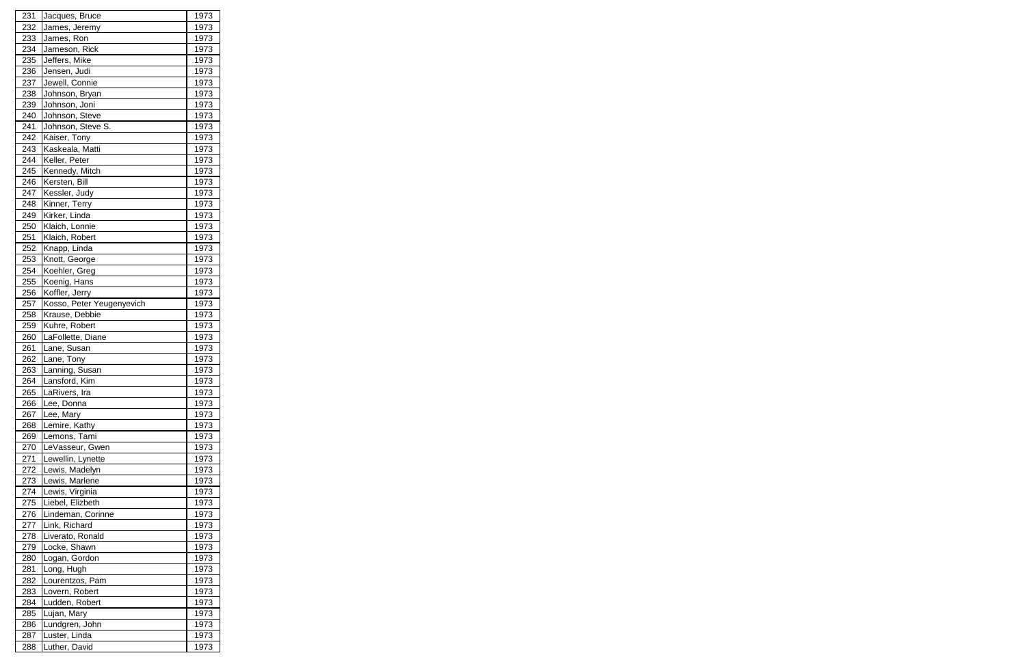| 231 | Jacques, Bruce            | 1973 |
|-----|---------------------------|------|
| 232 | James, Jeremy             | 1973 |
| 233 | James, Ron                | 1973 |
| 234 | Jameson, Rick             | 1973 |
| 235 | Jeffers, Mike             | 1973 |
| 236 | Jensen, Judi              | 1973 |
| 237 | Jewell, Connie            | 1973 |
| 238 | Johnson, Bryan            | 1973 |
| 239 | Johnson, Joni             | 1973 |
| 240 | Johnson, Steve            | 1973 |
| 241 | Johnson, Steve S.         | 1973 |
| 242 | Kaiser, Tony              | 1973 |
| 243 | Kaskeala, Matti           | 1973 |
| 244 | Keller, Peter             | 1973 |
| 245 | Kennedy, Mitch            | 1973 |
| 246 | Kersten, Bill             | 1973 |
| 247 | Kessler, Judy             | 1973 |
| 248 | Kinner, Terry             | 1973 |
| 249 | Kirker, Linda             | 1973 |
| 250 | Klaich, Lonnie            | 1973 |
|     |                           |      |
| 251 | Klaich, Robert            | 1973 |
| 252 | Knapp, Linda              | 1973 |
| 253 | Knott, George             | 1973 |
| 254 | Koehler, Greg             | 1973 |
| 255 | Koenig, Hans              | 1973 |
| 256 | Koffler, Jerry            | 1973 |
| 257 | Kosso, Peter Yeugenyevich | 1973 |
| 258 | Krause, Debbie            | 1973 |
| 259 | Kuhre, Robert             | 1973 |
| 260 | LaFollette, Diane         | 1973 |
| 261 | Lane, Susan               | 1973 |
| 262 | Lane, Tony                | 1973 |
| 263 | Lanning, Susan            | 1973 |
| 264 | Lansford, Kim             | 1973 |
| 265 | LaRivers, Ira             | 1973 |
| 266 | Lee, Donna                | 1973 |
| 267 | Lee, Mary                 | 1973 |
| 268 | Lemire, Kathy             | 1973 |
| 269 | Lemons, Tami              | 1973 |
| 270 | LeVasseur, Gwen           | 1973 |
| 271 | Lewellin, Lynette         | 1973 |
| 272 | Lewis, Madelyn            | 1973 |
| 273 | Lewis, Marlene            | 1973 |
| 274 | Lewis, Virginia           | 1973 |
| 275 | Liebel, Elizbeth          | 1973 |
| 276 | Lindeman, Corinne         | 1973 |
| 277 | Link, Richard             | 1973 |
| 278 | Liverato, Ronald          | 1973 |
| 279 | Locke, Shawn              | 1973 |
| 280 | Logan, Gordon             | 1973 |
| 281 | Long, Hugh                | 1973 |
| 282 | Lourentzos, Pam           | 1973 |
| 283 | Lovern, Robert            | 1973 |
| 284 | Ludden, Robert            | 1973 |
| 285 | Lujan, Mary               | 1973 |
| 286 | Lundgren, John            | 1973 |
| 287 | Luster, Linda             | 1973 |
| 288 | Luther, David             | 1973 |
|     |                           |      |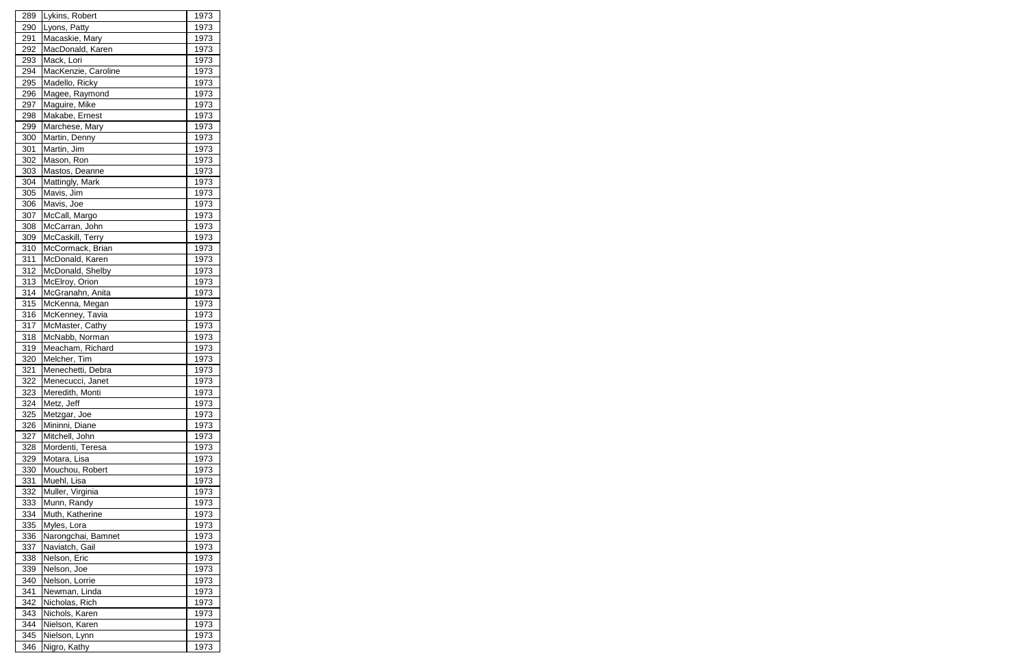| 289        | Lykins, Robert      | 1973        |
|------------|---------------------|-------------|
| 290        | Lyons, Patty        | 1973        |
| 291        | Macaskie, Mary      | 1973        |
| 292        | MacDonald, Karen    | 1973        |
| 293        | Mack, Lori          | 1973        |
| 294        | MacKenzie, Caroline | 1973        |
| 295        | Madello, Ricky      | 1973        |
| 296        | Magee, Raymond      | 1973        |
| 297        | Maguire, Mike       | 1973        |
| 298        | Makabe, Ernest      | 1973        |
| 299        | Marchese, Mary      | 1973        |
| 300        | Martin, Denny       | 1973        |
| 301        | Martin, Jim         | 1973        |
| 302        | Mason, Ron          | 1973        |
| 303        | Mastos, Deanne      | 1973        |
| 304        | Mattingly, Mark     | 1973        |
|            | Mavis, Jim          | 1973        |
| 305<br>306 |                     |             |
|            | Mavis, Joe          | 1973        |
| 307        | McCall, Margo       | 1973        |
| 308        | McCarran, John      | 1973        |
| 309        | McCaskill, Terry    | 1973        |
| 310        | McCormack, Brian    | 1973        |
| 311        | McDonald, Karen     | 1973        |
| 312        | McDonald, Shelby    | 1973        |
| 313        | McElroy, Orion      | 1973        |
| 314        | McGranahn, Anita    | 1973        |
| 315        | McKenna, Megan      | 1973        |
| 316        | McKenney, Tavia     | 1973        |
| 317        | McMaster, Cathy     | 1973        |
| 318        | McNabb, Norman      | 1973        |
| 319        | Meacham, Richard    | 1973        |
| 320        | Melcher, Tim        | 1973        |
| 321        | Menechetti, Debra   | 1973        |
| 322        | Menecucci, Janet    | <u>1973</u> |
| 323        | Meredith, Monti     | 1973        |
| 324        | Metz, Jeff          | 1973        |
| 325        | Metzgar, Joe        | 1973        |
| 326        | Mininni, Diane      | 1973        |
| 327        | Mitchell, John      | 1973        |
| 328        | Mordenti, Teresa    | 1973        |
| 329        | Motara, Lisa        | 1973        |
| 330        | Mouchou, Robert     | 1973        |
| 331        | Muehl, Lisa         | 1973        |
| 332        | Muller, Virginia    | 1973        |
| 333        | Munn, Randy         | 1973        |
| 334        | Muth, Katherine     | 1973        |
| 335        | Myles, Lora         | 1973        |
| 336        | Narongchai, Bamnet  | 1973        |
| 337        | Naviatch, Gail      | 1973        |
| 338        | Nelson, Eric        | 1973        |
| 339        | Nelson, Joe         | 1973        |
| 340        | Nelson, Lorrie      | 1973        |
| 341        | Newman, Linda       | 1973        |
| 342        | Nicholas, Rich      | 1973        |
| 343        | Nichols, Karen      | 1973        |
| 344        | Nielson, Karen      | 1973        |
| 345        | Nielson, Lynn       | 1973        |
| 346        | Nigro, Kathy        | 1973        |
|            |                     |             |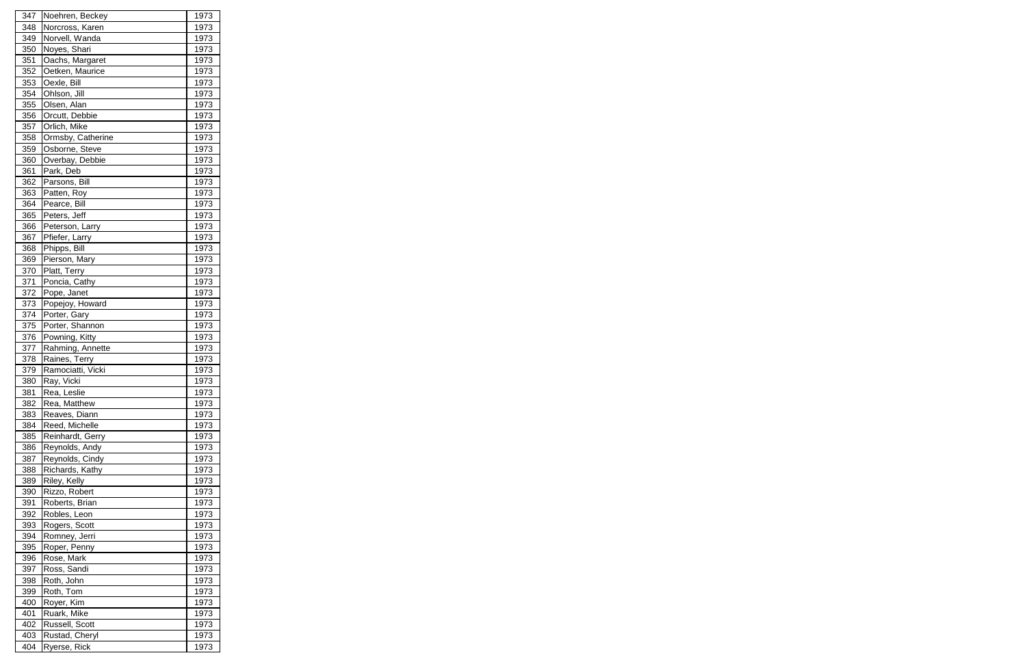| 347 | Noehren, Beckey   | 1973         |
|-----|-------------------|--------------|
| 348 | Norcross, Karen   | 1973         |
| 349 | Norvell, Wanda    | 1973         |
| 350 | Noyes, Shari      | 1973         |
| 351 | Oachs, Margaret   | 1973         |
| 352 | Oetken, Maurice   | 1973         |
| 353 | Oexle, Bill       | 1973         |
| 354 | Ohlson, Jill      | 1973         |
| 355 | Olsen, Alan       | 1973         |
| 356 | Orcutt, Debbie    | 1973         |
| 357 | Orlich, Mike      | 1973         |
| 358 | Ormsby, Catherine | 1973         |
| 359 | Osborne, Steve    | 1973         |
| 360 | Overbay, Debbie   | 1973         |
| 361 | Park, Deb         | 1973         |
| 362 | Parsons, Bill     | 1973         |
| 363 | Patten, Roy       | 1973         |
| 364 | Pearce, Bill      | 1973         |
| 365 | Peters, Jeff      | 1973         |
|     |                   |              |
| 366 | Peterson, Larry   | 1973         |
| 367 | Pfiefer, Larry    | 1973         |
| 368 | Phipps, Bill      | 1973         |
| 369 | Pierson, Mary     | 1973         |
| 370 | Platt, Terry      | 1973         |
| 371 | Poncia, Cathy     | 1973         |
| 372 | Pope, Janet       | 1973         |
| 373 | Popejoy, Howard   | 1973         |
| 374 | Porter, Gary      | 1973         |
| 375 | Porter, Shannon   | 1973         |
| 376 | Powning, Kitty    | 1973         |
| 377 | Rahming, Annette  | 1973         |
| 378 | Raines, Terry     | 1973         |
| 379 | Ramociatti, Vicki | 1973         |
| 380 | Ray, Vicki        | <u> 1973</u> |
| 381 | Rea, Leslie       | 1973         |
| 382 | Rea, Matthew      | 1973         |
| 383 | Reaves, Diann     | 1973         |
| 384 | Reed, Michelle    | 1973         |
| 385 | Reinhardt, Gerry  | 1973         |
| 386 | Reynolds, Andy    | 1973         |
| 387 | Reynolds, Cindy   | 1973         |
| 388 | Richards, Kathy   | 1973         |
| 389 | Riley, Kelly      | 1973         |
| 390 | Rizzo, Robert     | 1973         |
| 391 | Roberts, Brian    | 1973         |
| 392 | Robles, Leon      | 1973         |
| 393 | Rogers, Scott     | 1973         |
| 394 | Romney, Jerri     | 1973         |
| 395 | Roper, Penny      | 1973         |
| 396 | Rose, Mark        | 1973         |
| 397 | Ross, Sandi       | 1973         |
| 398 | Roth, John        | 1973         |
| 399 | Roth, Tom         | 1973         |
| 400 | Royer, Kim        | 1973         |
| 401 | Ruark, Mike       | 1973         |
| 402 | Russell, Scott    | 1973         |
| 403 | Rustad, Cheryl    | 1973         |
| 404 | Ryerse, Rick      | 1973         |
|     |                   |              |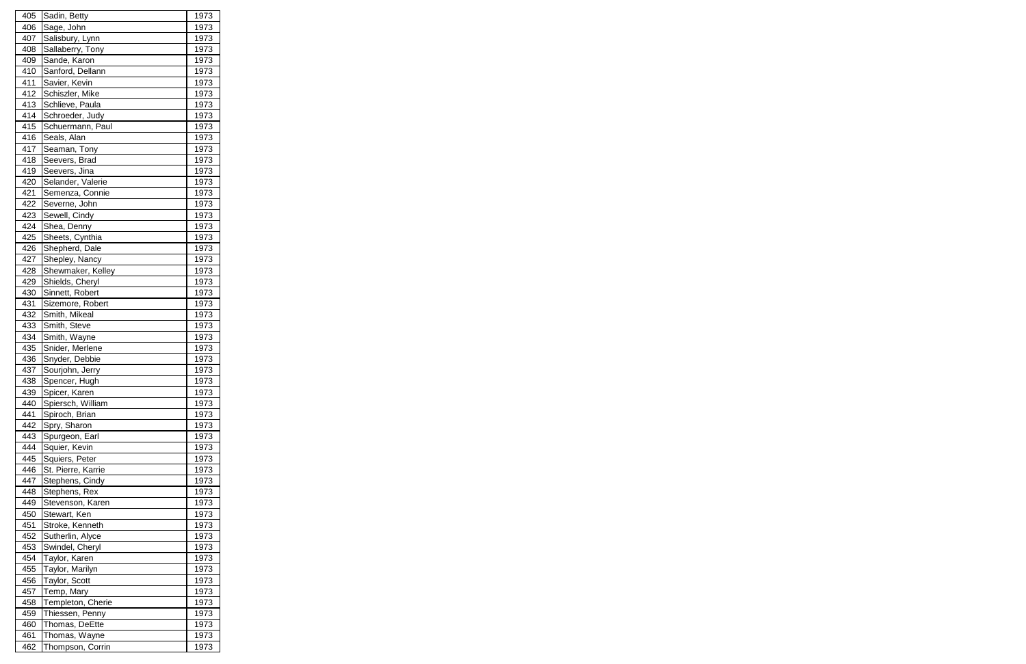| 405 | Sadin, Betty                     | 1973         |
|-----|----------------------------------|--------------|
| 406 | Sage, John                       | 1973         |
| 407 | Salisbury, Lynn                  | 1973         |
| 408 | Sallaberry, Tony                 | 1973         |
| 409 | Sande, Karon                     | 1973         |
| 410 | Sanford, Dellann                 | 1973         |
| 411 | Savier, Kevin                    | 1973         |
| 412 | Schiszler, Mike                  | 1973         |
| 413 | Schlieve, Paula                  | 1973         |
| 414 | Schroeder, Judy                  | 1973         |
| 415 | Schuermann, Paul                 | 1973         |
| 416 | Seals, Alan                      | 1973         |
| 417 |                                  | 1973         |
| 418 | Seaman, Tony<br>Seevers, Brad    | 1973         |
| 419 |                                  | 1973         |
| 420 | Seevers, Jina                    |              |
|     | Selander, Valerie                | 1973         |
| 421 | Semenza, Connie                  | 1973         |
| 422 | Severne, John                    | 1973         |
| 423 | Sewell, Cindy                    | 1973         |
| 424 | Shea, Denny                      | 1973         |
| 425 | Sheets, Cynthia                  | 1973         |
| 426 | Shepherd, Dale                   | 1973         |
| 427 | Shepley, Nancy                   | 1973         |
| 428 | Shewmaker, Kelley                | 1973         |
| 429 | Shields, Cheryl                  | 1973         |
| 430 | Sinnett, Robert                  | 1973         |
| 431 | Sizemore, Robert                 | 1973         |
| 432 | Smith, Mikeal                    | 1973         |
| 433 | Smith, Steve                     | 1973         |
| 434 | Smith, Wayne                     | 1973         |
| 435 | Snider, Merlene                  | 1973         |
| 436 | Snyder, Debbie                   | 1973         |
| 437 | Sourjohn, Jerry                  | 1973         |
| 438 | Spencer, Hugh                    | 1973         |
| 439 | Spicer, Karen                    | 1973         |
| 440 | Spiersch, William                | 1973         |
| 441 | Spiroch, Brian                   | 1973         |
| 442 | Spry, Sharon                     | 1973         |
| 443 | Spurgeon, Earl                   | 1973         |
| 444 | Squier, Kevin                    | 1973         |
| 445 | Squiers, Peter                   | 1973         |
| 446 | St. Pierre, Karrie               | 1973         |
| 447 | Stephens, Cindy                  | 1973         |
| 448 | Stephens, Rex                    | 1973         |
| 449 | Stevenson, Karen                 | 1973         |
| 450 | Stewart, Ken                     | 1973         |
| 451 | Stroke, Kenneth                  | 1973         |
| 452 | Sutherlin, Alyce                 | 1973         |
| 453 |                                  |              |
| 454 | Swindel, Cheryl<br>Taylor, Karen | 1973<br>1973 |
|     |                                  |              |
| 455 | Taylor, Marilyn                  | 1973         |
| 456 | Taylor, Scott                    | 1973         |
| 457 | Temp, Mary                       | 1973         |
| 458 | Templeton, Cherie                | 1973         |
| 459 | Thiessen, Penny                  | 1973         |
| 460 | Thomas, DeEtte                   | 1973         |
| 461 | Thomas, Wayne                    | 1973         |
| 462 | Thompson, Corrin                 | 1973         |